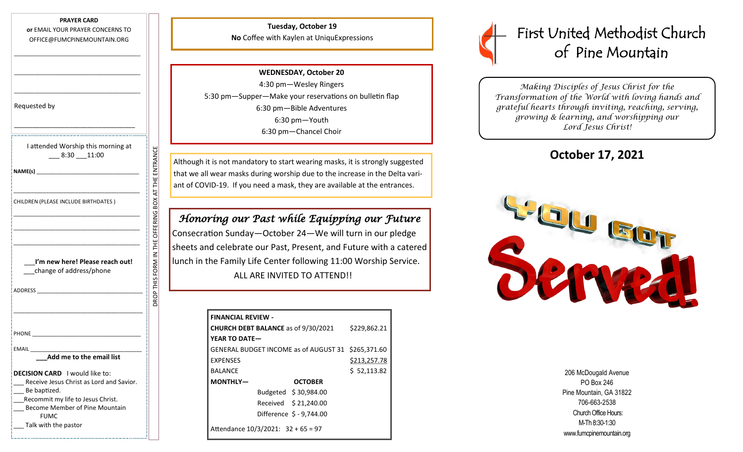#### **PRAYER CARD**

**or** EMAIL YOUR PRAYER CONCERNS TO OFFICE@FUMCPINEMOUNTAIN.ORG

\_\_\_\_\_\_\_\_\_\_\_\_\_\_\_\_\_\_\_\_\_\_\_\_\_\_\_\_\_\_\_\_\_\_\_\_\_\_\_\_\_\_\_

\_\_\_\_\_\_\_\_\_\_\_\_\_\_\_\_\_\_\_\_\_\_\_\_\_\_\_\_\_\_\_\_\_\_\_\_\_\_\_\_\_\_\_

\_\_\_\_\_\_\_\_\_\_\_\_\_\_\_\_\_\_\_\_\_\_\_\_\_\_\_\_\_\_\_\_\_\_\_\_\_\_\_\_\_\_\_

| Requested by |  |
|--------------|--|
|--------------|--|

| I attended Worship this morning at<br>$-8:30 - 11:00$                                                                                                             |                              |
|-------------------------------------------------------------------------------------------------------------------------------------------------------------------|------------------------------|
|                                                                                                                                                                   |                              |
| CHILDREN (PLEASE INCLUDE BIRTHDATES)                                                                                                                              | OFFERING BOX AT THE ENTRANCE |
|                                                                                                                                                                   |                              |
|                                                                                                                                                                   |                              |
| I'm new here! Please reach out!<br>change of address/phone                                                                                                        | DROP THIS FORM               |
| ADDRESS AND THE STATE OF THE STATE OF THE STATE OF THE STATE OF THE STATE OF THE STATE OF THE STATE OF THE STA                                                    |                              |
|                                                                                                                                                                   |                              |
|                                                                                                                                                                   |                              |
| Add me to the email list                                                                                                                                          |                              |
|                                                                                                                                                                   |                              |
| DECISION CARD I would like to:<br>Receive Jesus Christ as Lord and Savior.<br>Be baptized.<br>Recommit my life to Jesus Christ.<br>Become Member of Pine Mountain |                              |
| <b>FUMC</b><br>Talk with the pastor                                                                                                                               |                              |

DROP THIS FORM IN THE OFFERING BOX AT THE ENTRANCE

### **Tuesday, October 19 No** Coffee with Kaylen at UniquExpressions

**WEDNESDAY, October 20** 4:30 pm—Wesley Ringers 5:30 pm—Supper—Make your reservations on bulletin flap 6:30 pm—Bible Adventures 6:30 pm—Youth 6:30 pm—Chancel Choir

Although it is not mandatory to start wearing masks, it is strongly suggested that we all wear masks during worship due to the increase in the Delta variant of COVID-19. If you need a mask, they are available at the entrances.

# *Honoring our Past while Equipping our Future*

Consecration Sunday—October 24—We will turn in our pledge sheets and celebrate our Past, Present, and Future with a catered lunch in the Family Life Center following 11:00 Worship Service. ALL ARE INVITED TO ATTEND!!

| <b>FINANCIAL REVIEW -</b> |                                            |              |
|---------------------------|--------------------------------------------|--------------|
|                           | <b>CHURCH DEBT BALANCE as of 9/30/2021</b> | \$229,862.21 |
| YEAR TO DATE-             |                                            |              |
|                           | GENERAL BUDGET INCOME as of AUGUST 31      | \$265,371.60 |
| <b>EXPENSES</b>           |                                            | \$213,257.78 |
| <b>BAI ANCE</b>           |                                            | \$52,113.82  |
| MONTHLY-                  | <b>OCTOBER</b>                             |              |
|                           | Budgeted \$30,984.00                       |              |
|                           | Received \$21,240.00                       |              |
|                           | Difference \$ - 9,744.00                   |              |
|                           | Attendance $10/3/2021$ : $32 + 65 = 97$    |              |

# First United Methodist Church of Pine Mountain

*Making Disciples of Jesus Christ for the Transformation of the World with loving hands and grateful hearts through inviting, reaching, serving, growing & learning, and worshipping our Lord Jesus Christ!* 

**October 17, 2021**



206 McDougald Avenue PO Box 246 Pine Mountain, GA 31822 706-663-2538 Church Office Hours: M-Th 8:30-1:30 www.fumcpinemountain.org